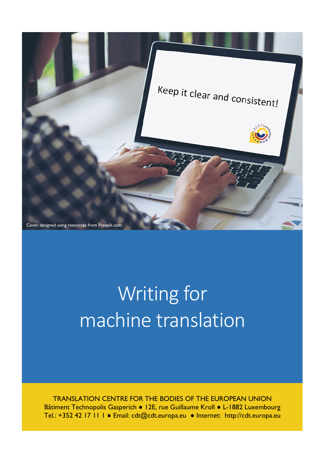

# Writing for machine translation

TRANSLATION CENTRE FOR THE BODIES OF THE EUROPEAN UNION Bâtiment Technopolis Gasperich • 12E, rue Guillaume Kroll • L-1882 Luxembourg Tel.: +352 42 17 11 1 ● Email: cdt@cdt.europa.eu ● Internet: http://cdt.europa.eu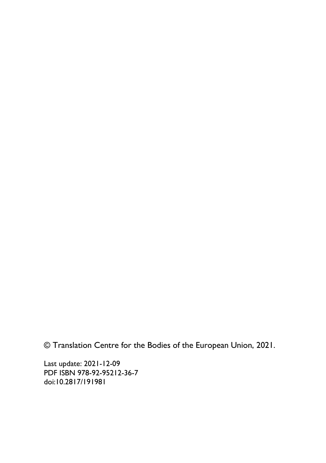© Translation Centre for the Bodies of the European Union, 2021.

Last update: 2021-12-09 PDF ISBN 978-92-95212-36-7 doi:10.2817/191981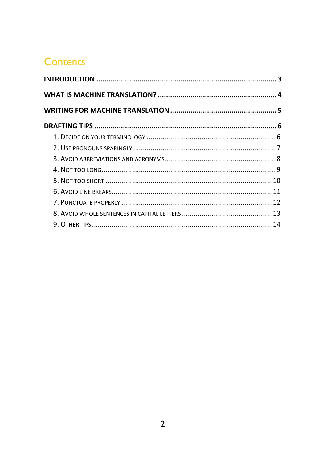#### **Contents**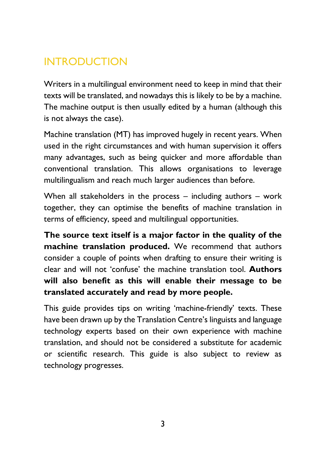## <span id="page-3-0"></span>INTRODUCTION

Writers in a multilingual environment need to keep in mind that their texts will be translated, and nowadays this is likely to be by a machine. The machine output is then usually edited by a human (although this is not always the case).

Machine translation (MT) has improved hugely in recent years. When used in the right circumstances and with human supervision it offers many advantages, such as being quicker and more affordable than conventional translation. This allows organisations to leverage multilingualism and reach much larger audiences than before.

When all stakeholders in the process – including authors – work together, they can optimise the benefits of machine translation in terms of efficiency, speed and multilingual opportunities.

**The source text itself is a major factor in the quality of the machine translation produced.** We recommend that authors consider a couple of points when drafting to ensure their writing is clear and will not 'confuse' the machine translation tool. **Authors will also benefit as this will enable their message to be translated accurately and read by more people.**

This guide provides tips on writing 'machine-friendly' texts. These have been drawn up by the Translation Centre's linguists and language technology experts based on their own experience with machine translation, and should not be considered a substitute for academic or scientific research. This guide is also subject to review as technology progresses.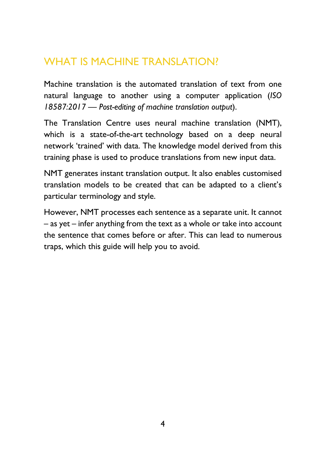#### <span id="page-4-0"></span>WHAT IS MACHINE TRANSLATION?

Machine translation is the automated translation of text from one natural language to another using a computer application (*ISO 18587:2017 — Post-editing of machine translation output*).

The Translation Centre uses neural machine translation (NMT), which is a state-of-the-art technology based on a deep neural network 'trained' with data. The knowledge model derived from this training phase is used to produce translations from new input data.

NMT generates instant translation output. It also enables customised translation models to be created that can be adapted to a client's particular terminology and style.

However, NMT processes each sentence as a separate unit. It cannot – as yet – infer anything from the text as a whole or take into account the sentence that comes before or after. This can lead to numerous traps, which this guide will help you to avoid.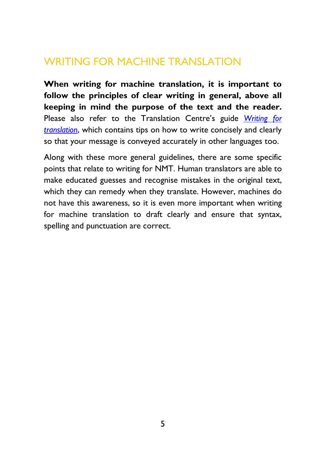#### <span id="page-5-0"></span>WRITING FOR MACHINE TRANSLATION

**When writing for machine translation, it is important to follow the principles of clear writing in general, above all keeping in mind the purpose of the text and the reader.** Please also refer to the Translation Centre's guide *[Writing for](https://cdt.europa.eu/sites/default/files/documentation/pdf/writing_for_translation_en.pdf)  [translation](https://cdt.europa.eu/sites/default/files/documentation/pdf/writing_for_translation_en.pdf)*, which contains tips on how to write concisely and clearly so that your message is conveyed accurately in other languages too.

Along with these more general guidelines, there are some specific points that relate to writing for NMT. Human translators are able to make educated guesses and recognise mistakes in the original text, which they can remedy when they translate. However, machines do not have this awareness, so it is even more important when writing for machine translation to draft clearly and ensure that syntax, spelling and punctuation are correct.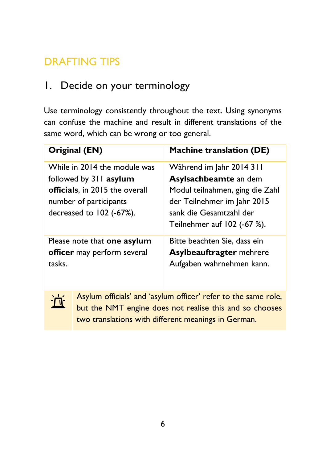# <span id="page-6-0"></span>DRAFTING TIPS

#### <span id="page-6-1"></span>1. Decide on your terminology

Use terminology consistently throughout the text. Using synonyms can confuse the machine and result in different translations of the same word, which can be wrong or too general.

| Original (EN)                                                                                                                                  | Machine translation (DE)                                                                                                                                                        |
|------------------------------------------------------------------------------------------------------------------------------------------------|---------------------------------------------------------------------------------------------------------------------------------------------------------------------------------|
| While in 2014 the module was<br>followed by 311 asylum<br>officials, in 2015 the overall<br>number of participants<br>decreased to 102 (-67%). | Während im Jahr 2014 311<br>Asylsachbeamte an dem<br>Modul teilnahmen, ging die Zahl<br>der Teilnehmer im Jahr 2015<br>sank die Gesamtzahl der<br>Teilnehmer auf $102$ (-67 %). |
| Please note that one asylum<br>officer may perform several<br>tasks.                                                                           | Bitte beachten Sie, dass ein<br><b>Asylbeauftragter mehrere</b><br>Aufgaben wahrnehmen kann.                                                                                    |



Asylum officials' and 'asylum officer' refer to the same role, but the NMT engine does not realise this and so chooses two translations with different meanings in German.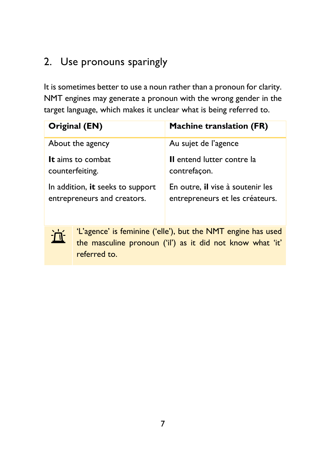# <span id="page-7-0"></span>2. Use pronouns sparingly

近

It is sometimes better to use a noun rather than a pronoun for clarity. NMT engines may generate a pronoun with the wrong gender in the target language, which makes it unclear what is being referred to.

| Original (EN)                    | <b>Machine translation (FR)</b>  |
|----------------------------------|----------------------------------|
| About the agency                 | Au sujet de l'agence             |
| It aims to combat                | Il entend lutter contre la       |
| counterfeiting.                  | contrefaçon.                     |
| In addition, it seeks to support | En outre, il vise à soutenir les |
| entrepreneurs and creators.      | entrepreneurs et les créateurs.  |

'L'agence' is feminine ('elle'), but the NMT engine has used the masculine pronoun ('il') as it did not know what 'it' referred to.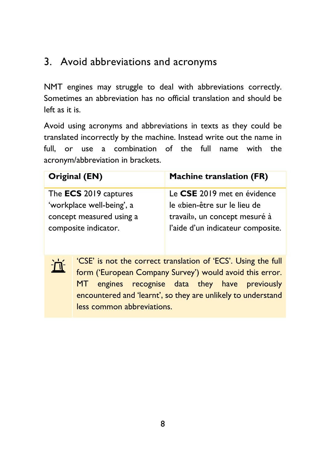#### <span id="page-8-0"></span>3. Avoid abbreviations and acronyms

ÌΠ

NMT engines may struggle to deal with abbreviations correctly. Sometimes an abbreviation has no official translation and should be left as it is.

Avoid using acronyms and abbreviations in texts as they could be translated incorrectly by the machine. Instead write out the name in full, or use a combination of the full name with the acronym/abbreviation in brackets.

| Original (EN)                | <b>Machine translation (FR)</b>   |
|------------------------------|-----------------------------------|
| The <b>ECS</b> 2019 captures | Le CSE 2019 met en évidence       |
| 'workplace well-being', a    | le «bien-être sur le lieu de      |
| concept measured using a     | travail», un concept mesuré à     |
| composite indicator.         | l'aide d'un indicateur composite. |
|                              |                                   |

'CSE' is not the correct translation of 'ECS'. Using the full form ('European Company Survey') would avoid this error. MT engines recognise data they have previously encountered and 'learnt', so they are unlikely to understand less common abbreviations.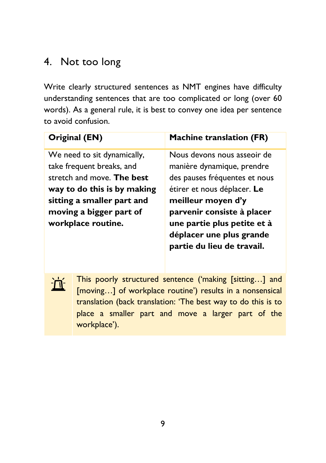# <span id="page-9-0"></span>4. Not too long

Write clearly structured sentences as NMT engines have difficulty understanding sentences that are too complicated or long (over 60 words). As a general rule, it is best to convey one idea per sentence to avoid confusion.

| Original (EN)                                 | <b>Machine translation (FR)</b>                                                                                     |
|-----------------------------------------------|---------------------------------------------------------------------------------------------------------------------|
| We need to sit dynamically,                   | Nous devons nous asseoir de                                                                                         |
| take frequent breaks, and                     | manière dynamique, prendre                                                                                          |
| stretch and move. The best                    | des pauses fréquentes et nous                                                                                       |
| way to do this is by making                   | étirer et nous déplacer. Le                                                                                         |
| sitting a smaller part and                    | meilleur moyen d'y                                                                                                  |
| moving a bigger part of<br>workplace routine. | parvenir consiste à placer<br>une partie plus petite et à<br>déplacer une plus grande<br>partie du lieu de travail. |



This poorly structured sentence ('making [sitting…] and [moving...] of workplace routine') results in a nonsensical translation (back translation: 'The best way to do this is to place a smaller part and move a larger part of the workplace').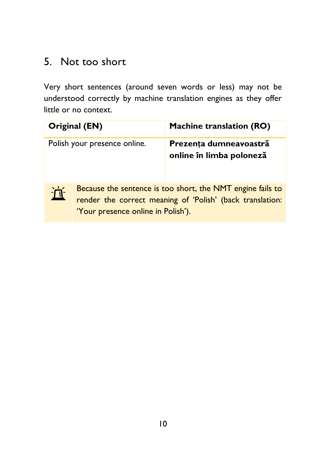#### <span id="page-10-0"></span>5. Not too short

Very short sentences (around seven words or less) may not be understood correctly by machine translation engines as they offer little or no context.

|   | Original (EN)                                                                                                                                                 | <b>Machine translation (RO)</b>                    |
|---|---------------------------------------------------------------------------------------------------------------------------------------------------------------|----------------------------------------------------|
|   | Polish your presence online.                                                                                                                                  | Prezența dumneavoastră<br>online în limba poloneză |
| 亘 | Because the sentence is too short, the NMT engine fails to<br>render the correct meaning of 'Polish' (back translation:<br>'Your presence online in Polish'). |                                                    |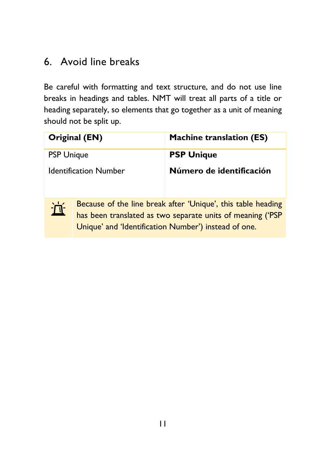### <span id="page-11-0"></span>6. Avoid line breaks

Be careful with formatting and text structure, and do not use line breaks in headings and tables. NMT will treat all parts of a title or heading separately, so elements that go together as a unit of meaning should not be split up.

|                   | Original (EN)                | <b>Machine translation (ES)</b>                                                                                                                                                    |
|-------------------|------------------------------|------------------------------------------------------------------------------------------------------------------------------------------------------------------------------------|
| <b>PSP Unique</b> |                              | <b>PSP Unique</b>                                                                                                                                                                  |
|                   | <b>Identification Number</b> | Número de identificación                                                                                                                                                           |
| 亘                 |                              | Because of the line break after 'Unique', this table heading<br>has been translated as two separate units of meaning ('PSP<br>Unique' and 'Identification Number') instead of one. |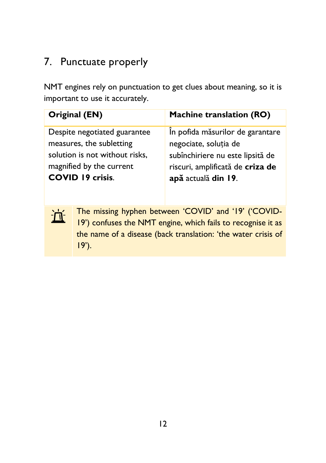## <span id="page-12-0"></span>7. Punctuate properly

NMT engines rely on punctuation to get clues about meaning, so it is important to use it accurately.

| Original (EN)                  | <b>Machine translation (RO)</b>  |
|--------------------------------|----------------------------------|
| Despite negotiated guarantee   | În pofida măsurilor de garantare |
| measures, the subletting       | negociate, soluția de            |
| solution is not without risks, | subînchiriere nu este lipsită de |
| magnified by the current       | riscuri, amplificată de criza de |
| <b>COVID 19 crisis.</b>        | apă actuală din 19.              |



The missing hyphen between 'COVID' and '19' ('COVID-19') confuses the NMT engine, which fails to recognise it as the name of a disease (back translation: 'the water crisis of 19').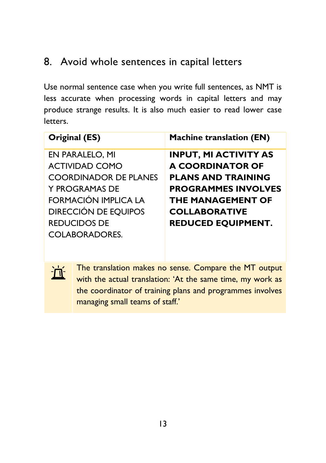#### <span id="page-13-0"></span>8. Avoid whole sentences in capital letters

Use normal sentence case when you write full sentences, as NMT is less accurate when processing words in capital letters and may produce strange results. It is also much easier to read lower case letters.

| Original (ES)                | <b>Machine translation (EN)</b> |
|------------------------------|---------------------------------|
| EN PARALELO, MI              | <b>INPUT, MI ACTIVITY AS</b>    |
| <b>ACTIVIDAD COMO</b>        | <b>A COORDINATOR OF</b>         |
| <b>COORDINADOR DE PLANES</b> | <b>PLANS AND TRAINING</b>       |
| Y PROGRAMAS DE               | <b>PROGRAMMES INVOLVES</b>      |
| <b>FORMACIÓN IMPLICA LA</b>  | <b>THE MANAGEMENT OF</b>        |
| <b>DIRECCIÓN DE EQUIPOS</b>  | <b>COLLABORATIVE</b>            |
| <b>REDUCIDOS DE</b>          | <b>REDUCED EQUIPMENT.</b>       |
| <b>COLABORADORES.</b>        |                                 |

The translation makes no sense. Compare the MT output with the actual translation: 'At the same time, my work as the coordinator of training plans and programmes involves managing small teams of staff.'

 $\overline{\Pi}$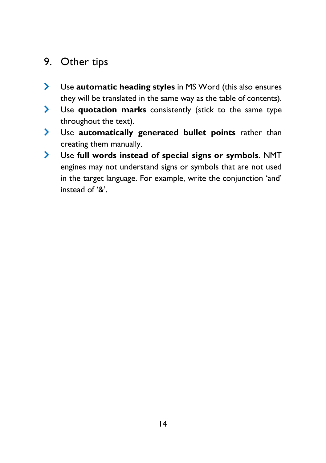#### <span id="page-14-0"></span>9. Other tips

- Use **automatic heading styles** in MS Word (this also ensures they will be translated in the same way as the table of contents).
- Use **quotation marks** consistently (stick to the same type throughout the text).
- Use **automatically generated bullet points** rather than creating them manually.
- Use **full words instead of special signs or symbols**. NMT engines may not understand signs or symbols that are not used in the target language. For example, write the conjunction 'and' instead of '&'.